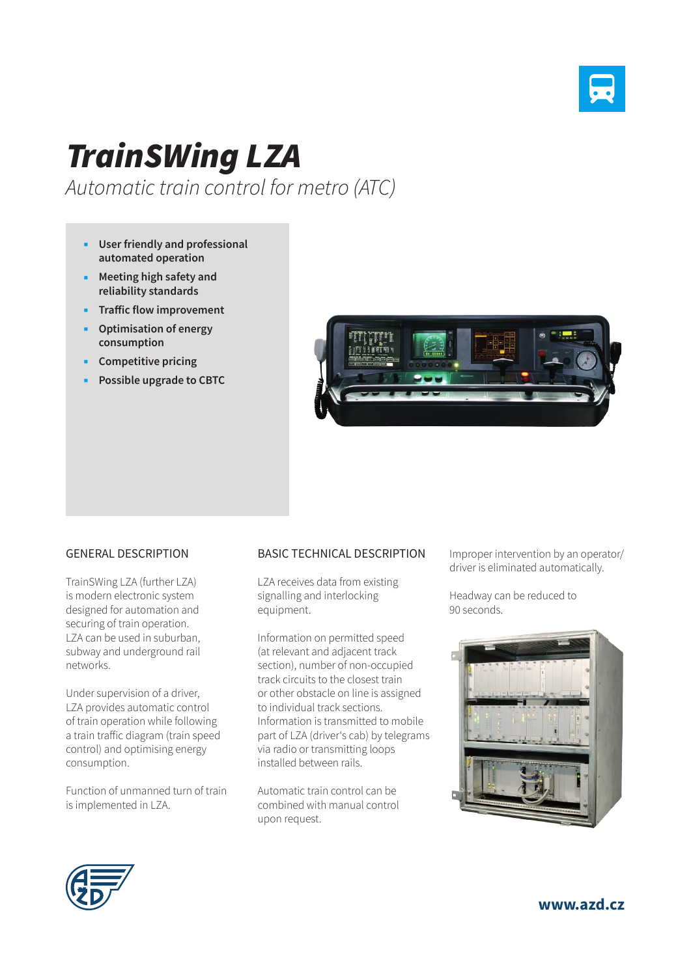

## *TrainSWing LZA*

*Automatic train control for metro (ATC)*

- **User friendly and professional automated operation**
- **Meeting high safety and reliability standards**
- **Traffic flow improvement**
- **Optimisation of energy consumption**
- **Competitive pricing**
- **Possible upgrade to CBTC**



## GENERAL DESCRIPTION

TrainSWing LZA (further LZA) is modern electronic system designed for automation and securing of train operation. LZA can be used in suburban, subway and underground rail networks.

Under supervision of a driver, LZA provides automatic control of train operation while following a train traffic diagram (train speed control) and optimising energy consumption.

Function of unmanned turn of train is implemented in LZA.

## BASIC TECHNICAL DESCRIPTION

LZA receives data from existing signalling and interlocking equipment.

Information on permitted speed (at relevant and adjacent track section), number of non-occupied track circuits to the closest train or other obstacle on line is assigned to individual track sections. Information is transmitted to mobile part of LZA (driver's cab) by telegrams via radio or transmitting loops installed between rails.

Automatic train control can be combined with manual control upon request.

Improper intervention by an operator/ driver is eliminated automatically.

Headway can be reduced to 90 seconds.





**www.azd.cz**